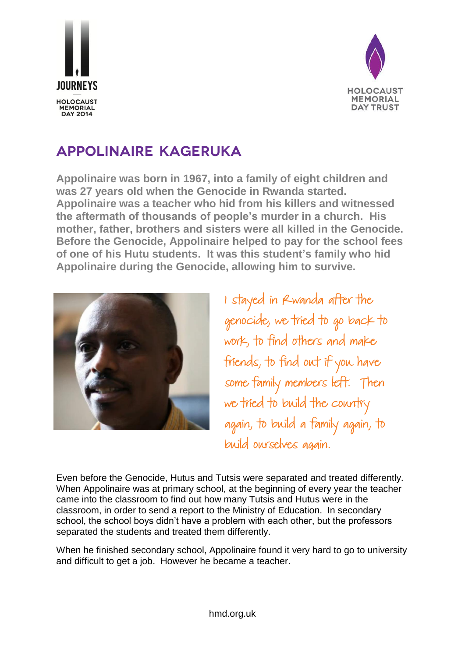



## **Appolinaire Kageruka**

**Appolinaire was born in 1967, into a family of eight children and was 27 years old when the Genocide in Rwanda started. Appolinaire was a teacher who hid from his killers and witnessed the aftermath of thousands of people's murder in a church. His mother, father, brothers and sisters were all killed in the Genocide. Before the Genocide, Appolinaire helped to pay for the school fees of one of his Hutu students. It was this student's family who hid Appolinaire during the Genocide, allowing him to survive.** 



I stayed in Rwanda after the genocide, we tried to go back to work, to find others and make friends, to find out if you have some family members left. Then we tried to build the country again, to build a family again, to build ourselves again.

Even before the Genocide, Hutus and Tutsis were separated and treated differently. When Appolinaire was at primary school, at the beginning of every year the teacher came into the classroom to find out how many Tutsis and Hutus were in the classroom, in order to send a report to the Ministry of Education. In secondary school, the school boys didn't have a problem with each other, but the professors separated the students and treated them differently.

When he finished secondary school, Appolinaire found it very hard to go to university and difficult to get a job. However he became a teacher.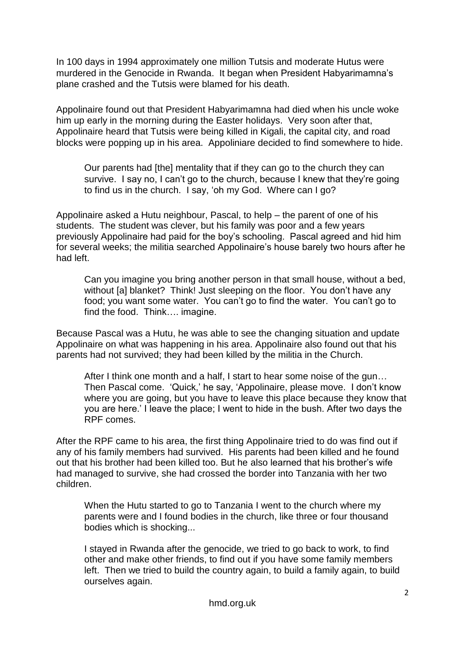In 100 days in 1994 approximately one million Tutsis and moderate Hutus were murdered in the Genocide in Rwanda. It began when President Habyarimamna's plane crashed and the Tutsis were blamed for his death.

Appolinaire found out that President Habyarimamna had died when his uncle woke him up early in the morning during the Easter holidays. Very soon after that, Appolinaire heard that Tutsis were being killed in Kigali, the capital city, and road blocks were popping up in his area. Appoliniare decided to find somewhere to hide.

Our parents had [the] mentality that if they can go to the church they can survive. I say no, I can't go to the church, because I knew that they're going to find us in the church. I say, 'oh my God. Where can I go?

Appolinaire asked a Hutu neighbour, Pascal, to help – the parent of one of his students. The student was clever, but his family was poor and a few years previously Appolinaire had paid for the boy's schooling. Pascal agreed and hid him for several weeks; the militia searched Appolinaire's house barely two hours after he had left.

Can you imagine you bring another person in that small house, without a bed, without [a] blanket? Think! Just sleeping on the floor. You don't have any food; you want some water. You can't go to find the water. You can't go to find the food. Think…. imagine.

Because Pascal was a Hutu, he was able to see the changing situation and update Appolinaire on what was happening in his area. Appolinaire also found out that his parents had not survived; they had been killed by the militia in the Church.

After I think one month and a half, I start to hear some noise of the gun… Then Pascal come. 'Quick,' he say, 'Appolinaire, please move. I don't know where you are going, but you have to leave this place because they know that you are here.' I leave the place; I went to hide in the bush. After two days the RPF comes.

After the RPF came to his area, the first thing Appolinaire tried to do was find out if any of his family members had survived. His parents had been killed and he found out that his brother had been killed too. But he also learned that his brother's wife had managed to survive, she had crossed the border into Tanzania with her two children.

When the Hutu started to go to Tanzania I went to the church where my parents were and I found bodies in the church, like three or four thousand bodies which is shocking...

I stayed in Rwanda after the genocide, we tried to go back to work, to find other and make other friends, to find out if you have some family members left. Then we tried to build the country again, to build a family again, to build ourselves again.